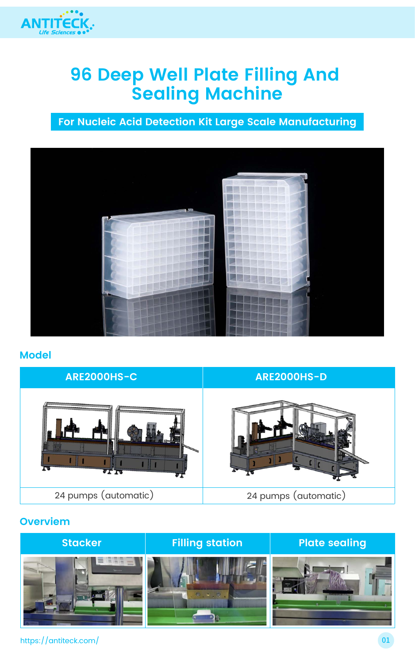

# **96 Deep Well Plate Filling And Sealing Machine**

#### **Model**

**For Nucleic Acid Detection Kit Large Scale Manufacturing**







### **ARE2000HS-C ARE2000HS-D**

#### **Overviem**

| <b>Stacker</b> | <b>Filling station</b> | <b>Plate sealing</b> |
|----------------|------------------------|----------------------|
|                | $\bullet$ (c)          |                      |

#### https://antiteck.com/ 01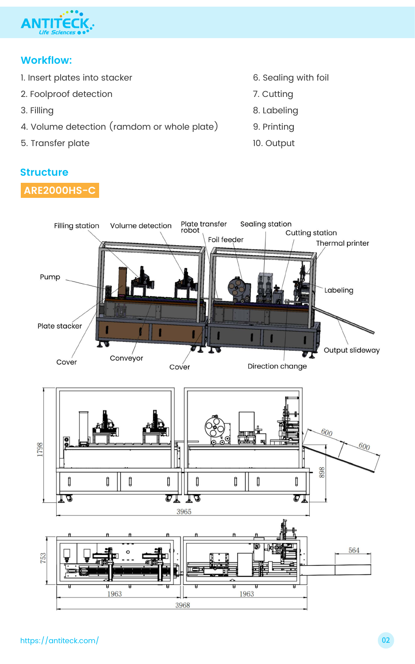

### **Workflow:**

- 1. Insert plates into stacker
- 2. Foolproof detection
- 3. Filling
- 4. Volume detection (ramdom or whole plate)
- 5. Transfer plate
- **Structure**



- 6. Sealing with foil
- 7. Cutting
- 8. Labeling
- 9. Printing
- 10. Output

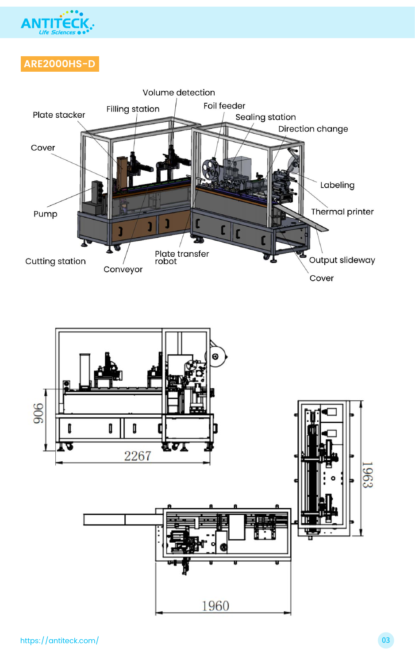

# **ARE2000HS-D**







https://antiteck.com/